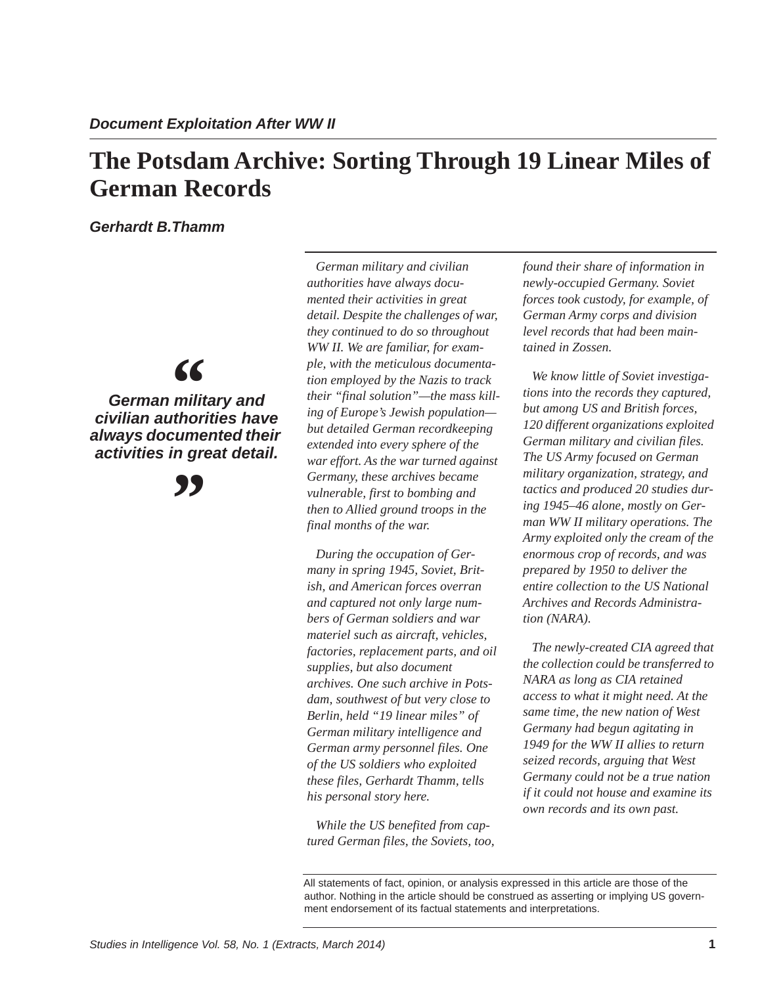# **The Potsdam Archive: Sorting Through 19 Linear Miles of German Records**

*Gerhardt B.Thamm*

*civilian authorities have German military and*   $66$ <br> $\frac{1}{2}$  milit *always documented their activities in great detail.*

*"*

*German military and civilian authorities have always documented their activities in great detail. Despite the challenges of war, they continued to do so throughout WW II. We are familiar, for example, with the meticulous documentation employed by the Nazis to track their "final solution"—the mass killing of Europe's Jewish population but detailed German recordkeeping extended into every sphere of the war effort. As the war turned against Germany, these archives became vulnerable, first to bombing and then to Allied ground troops in the final months of the war.*

*During the occupation of Germany in spring 1945, Soviet, British, and American forces overran and captured not only large numbers of German soldiers and war materiel such as aircraft, vehicles, factories, replacement parts, and oil supplies, but also document archives. One such archive in Potsdam, southwest of but very close to Berlin, held "19 linear miles" of German military intelligence and German army personnel files. One of the US soldiers who exploited these files, Gerhardt Thamm, tells his personal story here.*

*While the US benefited from captured German files, the Soviets, too,* 

*found their share of information in newly-occupied Germany. Soviet forces took custody, for example, of German Army corps and division level records that had been maintained in Zossen.* 

*We know little of Soviet investigations into the records they captured, but among US and British forces, 120 different organizations exploited German military and civilian files. The US Army focused on German military organization, strategy, and tactics and produced 20 studies during 1945–46 alone, mostly on German WW II military operations. The Army exploited only the cream of the enormous crop of records, and was prepared by 1950 to deliver the entire collection to the US National Archives and Records Administration (NARA).* 

*The newly-created CIA agreed that the collection could be transferred to NARA as long as CIA retained access to what it might need. At the same time, the new nation of West Germany had begun agitating in 1949 for the WW II allies to return seized records, arguing that West Germany could not be a true nation if it could not house and examine its own records and its own past.*

All statements of fact, opinion, or analysis expressed in this article are those of the author. Nothing in the article should be construed as asserting or implying US government endorsement of its factual statements and interpretations.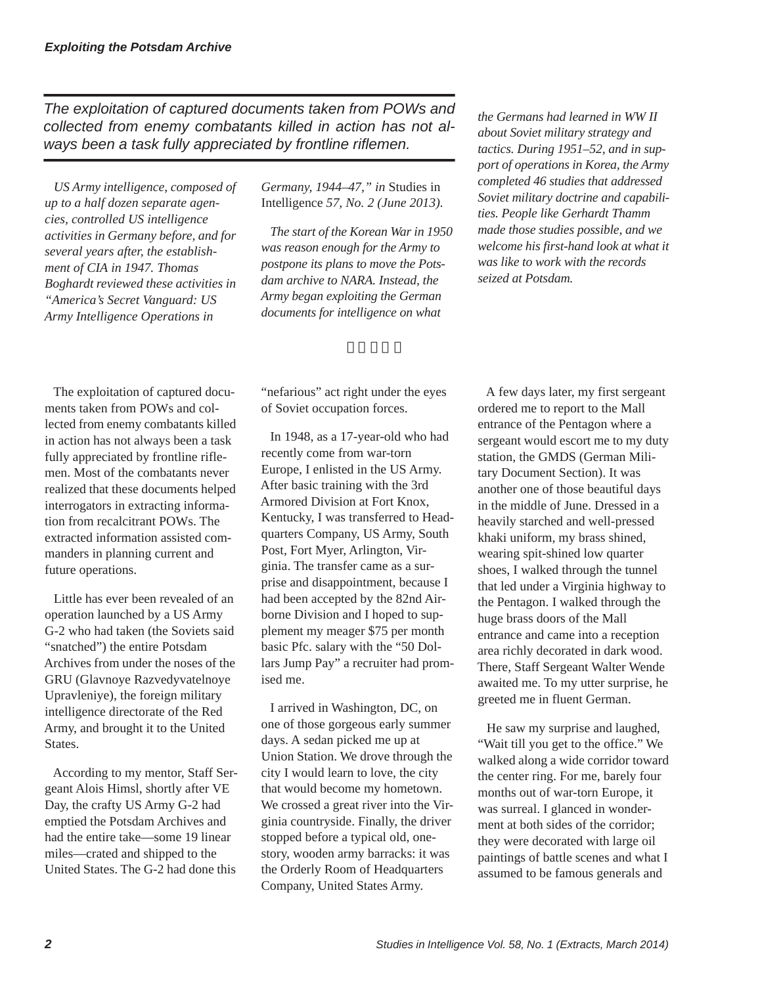*The exploitation of captured documents taken from POWs and collected from enemy combatants killed in action has not always been a task fully appreciated by frontline riflemen.* 

*US Army intelligence, composed of up to a half dozen separate agencies, controlled US intelligence activities in Germany before, and for several years after, the establishment of CIA in 1947. Thomas Boghardt reviewed these activities in "America's Secret Vanguard: US Army Intelligence Operations in* 

*Germany, 1944–47," in* Studies in Intelligence *57, No. 2 (June 2013).* 

*The start of the Korean War in 1950 was reason enough for the Army to postpone its plans to move the Potsdam archive to NARA. Instead, the Army began exploiting the German documents for intelligence on what* 

 $3 \cdot 3 \cdot 3$ 

The exploitation of captured documents taken from POWs and collected from enemy combatants killed in action has not always been a task fully appreciated by frontline riflemen. Most of the combatants never realized that these documents helped interrogators in extracting information from recalcitrant POWs. The extracted information assisted commanders in planning current and future operations.

Little has ever been revealed of an operation launched by a US Army G-2 who had taken (the Soviets said "snatched") the entire Potsdam Archives from under the noses of the GRU (Glavnoye Razvedyvatelnoye Upravleniye), the foreign military intelligence directorate of the Red Army, and brought it to the United States.

According to my mentor, Staff Sergeant Alois Himsl, shortly after VE Day, the crafty US Army G-2 had emptied the Potsdam Archives and had the entire take—some 19 linear miles—crated and shipped to the United States. The G-2 had done this

"nefarious" act right under the eyes of Soviet occupation forces.

In 1948, as a 17-year-old who had recently come from war-torn Europe, I enlisted in the US Army. After basic training with the 3rd Armored Division at Fort Knox, Kentucky, I was transferred to Headquarters Company, US Army, South Post, Fort Myer, Arlington, Virginia. The transfer came as a surprise and disappointment, because I had been accepted by the 82nd Airborne Division and I hoped to supplement my meager \$75 per month basic Pfc. salary with the "50 Dollars Jump Pay" a recruiter had promised me.

I arrived in Washington, DC, on one of those gorgeous early summer days. A sedan picked me up at Union Station. We drove through the city I would learn to love, the city that would become my hometown. We crossed a great river into the Virginia countryside. Finally, the driver stopped before a typical old, onestory, wooden army barracks: it was the Orderly Room of Headquarters Company, United States Army.

*the Germans had learned in WW II about Soviet military strategy and tactics. During 1951–52, and in support of operations in Korea, the Army completed 46 studies that addressed Soviet military doctrine and capabilities. People like Gerhardt Thamm made those studies possible, and we welcome his first-hand look at what it was like to work with the records seized at Potsdam.*

A few days later, my first sergeant ordered me to report to the Mall entrance of the Pentagon where a sergeant would escort me to my duty station, the GMDS (German Military Document Section). It was another one of those beautiful days in the middle of June. Dressed in a heavily starched and well-pressed khaki uniform, my brass shined, wearing spit-shined low quarter shoes, I walked through the tunnel that led under a Virginia highway to the Pentagon. I walked through the huge brass doors of the Mall entrance and came into a reception area richly decorated in dark wood. There, Staff Sergeant Walter Wende awaited me. To my utter surprise, he greeted me in fluent German.

He saw my surprise and laughed, "Wait till you get to the office." We walked along a wide corridor toward the center ring. For me, barely four months out of war-torn Europe, it was surreal. I glanced in wonderment at both sides of the corridor; they were decorated with large oil paintings of battle scenes and what I assumed to be famous generals and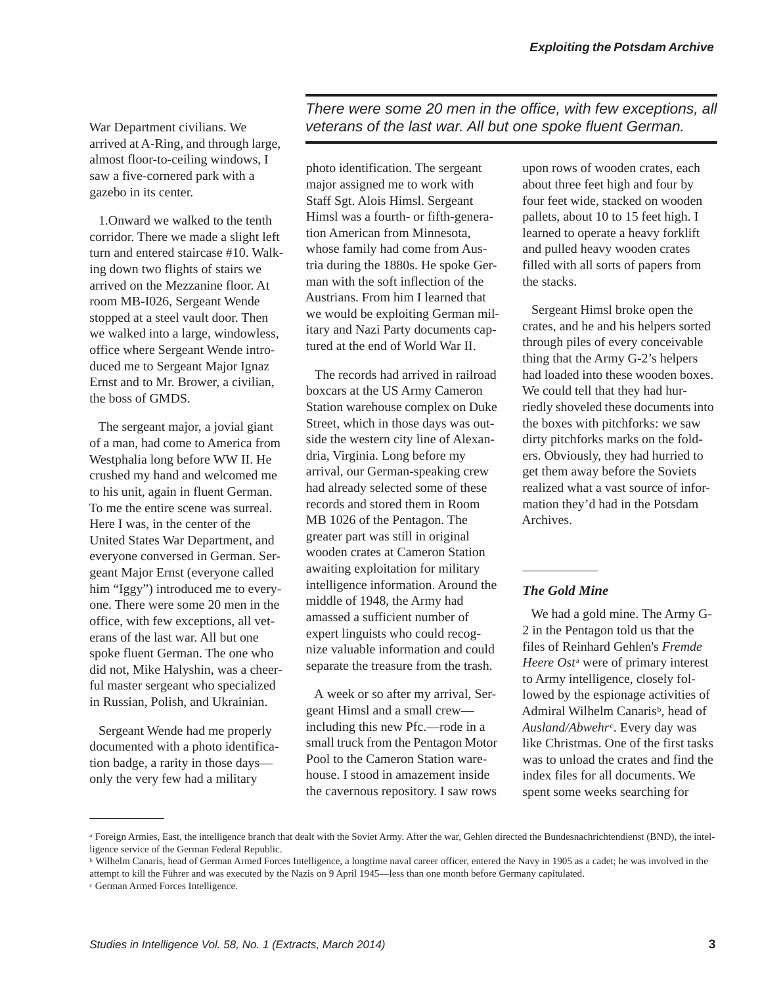War Department civilians. We arrived at A-Ring, and through large, almost floor-to-ceiling windows, I saw a five-cornered park with a gazebo in its center.

1.Onward we walked to the tenth corridor. There we made a slight left turn and entered staircase #10. Walking down two flights of stairs we arrived on the Mezzanine floor. At room MB-I026, Sergeant Wende stopped at a steel vault door. Then we walked into a large, windowless, office where Sergeant Wende introduced me to Sergeant Major Ignaz Ernst and to Mr. Brower, a civilian, the boss of GMDS.

The sergeant major, a jovial giant of a man, had come to America from Westphalia long before WW II. He crushed my hand and welcomed me to his unit, again in fluent German. To me the entire scene was surreal. Here I was, in the center of the United States War Department, and everyone conversed in German. Sergeant Major Ernst (everyone called him "Iggy") introduced me to everyone. There were some 20 men in the office, with few exceptions, all veterans of the last war. All but one spoke fluent German. The one who did not, Mike Halyshin, was a cheerful master sergeant who specialized in Russian, Polish, and Ukrainian.

Sergeant Wende had me properly documented with a photo identification badge, a rarity in those days only the very few had a military

*There were some 20 men in the office, with few exceptions, all veterans of the last war. All but one spoke fluent German.*

photo identification. The sergeant major assigned me to work with Staff Sgt. Alois Himsl. Sergeant Himsl was a fourth- or fifth-generation American from Minnesota, whose family had come from Austria during the 1880s. He spoke German with the soft inflection of the Austrians. From him I learned that we would be exploiting German military and Nazi Party documents captured at the end of World War II.

The records had arrived in railroad boxcars at the US Army Cameron Station warehouse complex on Duke Street, which in those days was outside the western city line of Alexandria, Virginia. Long before my arrival, our German-speaking crew had already selected some of these records and stored them in Room MB 1026 of the Pentagon. The greater part was still in original wooden crates at Cameron Station awaiting exploitation for military intelligence information. Around the middle of 1948, the Army had amassed a sufficient number of expert linguists who could recognize valuable information and could separate the treasure from the trash.

A week or so after my arrival, Sergeant Himsl and a small crew including this new Pfc.—rode in a small truck from the Pentagon Motor Pool to the Cameron Station warehouse. I stood in amazement inside the cavernous repository. I saw rows

upon rows of wooden crates, each about three feet high and four by four feet wide, stacked on wooden pallets, about 10 to 15 feet high. I learned to operate a heavy forklift and pulled heavy wooden crates filled with all sorts of papers from the stacks.

Sergeant Himsl broke open the crates, and he and his helpers sorted through piles of every conceivable thing that the Army G-2's helpers had loaded into these wooden boxes. We could tell that they had hurriedly shoveled these documents into the boxes with pitchforks: we saw dirty pitchforks marks on the folders. Obviously, they had hurried to get them away before the Soviets realized what a vast source of information they'd had in the Potsdam Archives.

# *The Gold Mine*

We had a gold mine. The Army G-2 in the Pentagon told us that the files of Reinhard Gehlen's *Fremde Heere Ost*<sup>a</sup> were of primary interest to Army intelligence, closely followed by the espionage activities of Admiral Wilhelm Canaris<sup>b</sup>, head of *Ausland/Abwehr*c. Every day was like Christmas. One of the first tasks was to unload the crates and find the index files for all documents. We spent some weeks searching for

a Foreign Armies, East, the intelligence branch that dealt with the Soviet Army. After the war, Gehlen directed the Bundesnachrichtendienst (BND), the intelligence service of the German Federal Republic.

<sup>b</sup> Wilhelm Canaris, head of German Armed Forces Intelligence, a longtime naval career officer, entered the Navy in 1905 as a cadet; he was involved in the attempt to kill the Führer and was executed by the Nazis on 9 April 1945—less than one month before Germany capitulated.

<sup>c</sup> German Armed Forces Intelligence.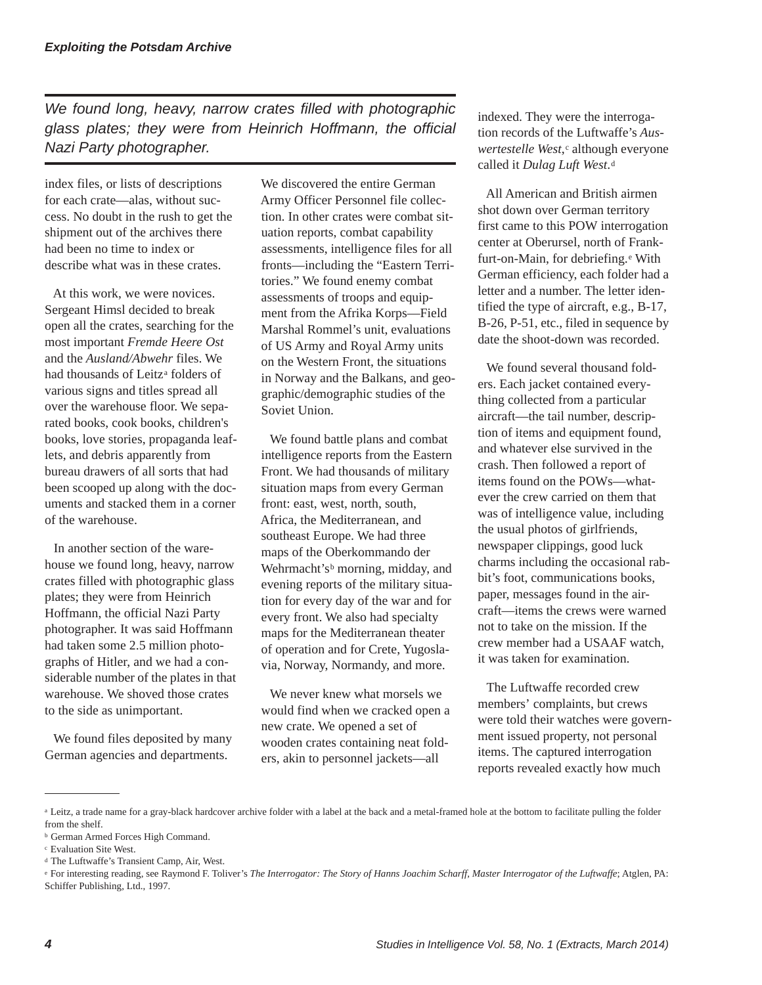*We found long, heavy, narrow crates filled with photographic glass plates; they were from Heinrich Hoffmann, the official Nazi Party photographer.*

index files, or lists of descriptions for each crate—alas, without success. No doubt in the rush to get the shipment out of the archives there had been no time to index or describe what was in these crates.

At this work, we were novices. Sergeant Himsl decided to break open all the crates, searching for the most important *Fremde Heere Ost* and the *Ausland/Abwehr* files. We had thousands of Leitz<sup>a</sup> folders of various signs and titles spread all over the warehouse floor. We separated books, cook books, children's books, love stories, propaganda leaflets, and debris apparently from bureau drawers of all sorts that had been scooped up along with the documents and stacked them in a corner of the warehouse.

In another section of the warehouse we found long, heavy, narrow crates filled with photographic glass plates; they were from Heinrich Hoffmann, the official Nazi Party photographer. It was said Hoffmann had taken some 2.5 million photographs of Hitler, and we had a considerable number of the plates in that warehouse. We shoved those crates to the side as unimportant.

We found files deposited by many German agencies and departments.

We discovered the entire German Army Officer Personnel file collection. In other crates were combat situation reports, combat capability assessments, intelligence files for all fronts—including the "Eastern Territories." We found enemy combat assessments of troops and equipment from the Afrika Korps—Field Marshal Rommel's unit, evaluations of US Army and Royal Army units on the Western Front, the situations in Norway and the Balkans, and geographic/demographic studies of the Soviet Union.

We found battle plans and combat intelligence reports from the Eastern Front. We had thousands of military situation maps from every German front: east, west, north, south, Africa, the Mediterranean, and southeast Europe. We had three maps of the Oberkommando der Wehrmacht's<sup>b</sup> morning, midday, and evening reports of the military situation for every day of the war and for every front. We also had specialty maps for the Mediterranean theater of operation and for Crete, Yugoslavia, Norway, Normandy, and more.

We never knew what morsels we would find when we cracked open a new crate. We opened a set of wooden crates containing neat folders, akin to personnel jackets—all

indexed. They were the interrogation records of the Luftwaffe's *Auswertestelle West*,<sup>c</sup> although everyone called it *Dulag Luft West*.d

All American and British airmen shot down over German territory first came to this POW interrogation center at Oberursel, north of Frankfurt-on-Main, for debriefing.e With German efficiency, each folder had a letter and a number. The letter identified the type of aircraft, e.g., B-17, B-26, P-51, etc., filed in sequence by date the shoot-down was recorded.

We found several thousand folders. Each jacket contained everything collected from a particular aircraft—the tail number, description of items and equipment found, and whatever else survived in the crash. Then followed a report of items found on the POWs—whatever the crew carried on them that was of intelligence value, including the usual photos of girlfriends, newspaper clippings, good luck charms including the occasional rabbit's foot, communications books, paper, messages found in the aircraft—items the crews were warned not to take on the mission. If the crew member had a USAAF watch, it was taken for examination.

The Luftwaffe recorded crew members' complaints, but crews were told their watches were government issued property, not personal items. The captured interrogation reports revealed exactly how much

<sup>&</sup>lt;sup>a</sup> Leitz, a trade name for a gray-black hardcover archive folder with a label at the back and a metal-framed hole at the bottom to facilitate pulling the folder from the shelf.

<sup>b</sup> German Armed Forces High Command.

<sup>c</sup> Evaluation Site West.

<sup>d</sup> The Luftwaffe's Transient Camp, Air, West.

<sup>e</sup> For interesting reading, see Raymond F. Toliver's *The Interrogator: The Story of Hanns Joachim Scharff, Master Interrogator of the Luftwaffe*; Atglen, PA: Schiffer Publishing, Ltd., 1997.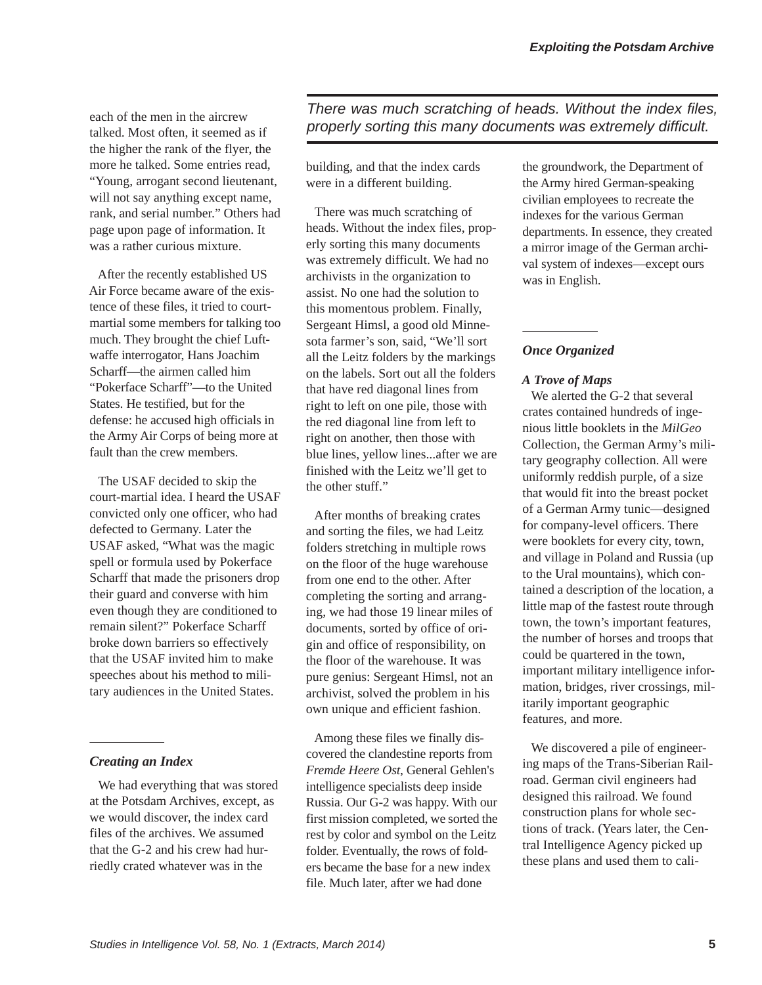each of the men in the aircrew talked. Most often, it seemed as if the higher the rank of the flyer, the more he talked. Some entries read, "Young, arrogant second lieutenant, will not say anything except name, rank, and serial number." Others had page upon page of information. It was a rather curious mixture.

After the recently established US Air Force became aware of the existence of these files, it tried to courtmartial some members for talking too much. They brought the chief Luftwaffe interrogator, Hans Joachim Scharff—the airmen called him "Pokerface Scharff"—to the United States. He testified, but for the defense: he accused high officials in the Army Air Corps of being more at fault than the crew members.

The USAF decided to skip the court-martial idea. I heard the USAF convicted only one officer, who had defected to Germany. Later the USAF asked, "What was the magic spell or formula used by Pokerface Scharff that made the prisoners drop their guard and converse with him even though they are conditioned to remain silent?" Pokerface Scharff broke down barriers so effectively that the USAF invited him to make speeches about his method to military audiences in the United States.

### *Creating an Index*

We had everything that was stored at the Potsdam Archives, except, as we would discover, the index card files of the archives. We assumed that the G-2 and his crew had hurriedly crated whatever was in the

*There was much scratching of heads. Without the index files, properly sorting this many documents was extremely difficult.*

building, and that the index cards were in a different building.

There was much scratching of heads. Without the index files, properly sorting this many documents was extremely difficult. We had no archivists in the organization to assist. No one had the solution to this momentous problem. Finally, Sergeant Himsl, a good old Minnesota farmer's son, said, "We'll sort all the Leitz folders by the markings on the labels. Sort out all the folders that have red diagonal lines from right to left on one pile, those with the red diagonal line from left to right on another, then those with blue lines, yellow lines...after we are finished with the Leitz we'll get to the other stuff."

After months of breaking crates and sorting the files, we had Leitz folders stretching in multiple rows on the floor of the huge warehouse from one end to the other. After completing the sorting and arranging, we had those 19 linear miles of documents, sorted by office of origin and office of responsibility, on the floor of the warehouse. It was pure genius: Sergeant Himsl, not an archivist, solved the problem in his own unique and efficient fashion.

Among these files we finally discovered the clandestine reports from *Fremde Heere Ost*, General Gehlen's intelligence specialists deep inside Russia. Our G-2 was happy. With our first mission completed, we sorted the rest by color and symbol on the Leitz folder. Eventually, the rows of folders became the base for a new index file. Much later, after we had done

the groundwork, the Department of the Army hired German-speaking civilian employees to recreate the indexes for the various German departments. In essence, they created a mirror image of the German archival system of indexes—except ours was in English.

### *Once Organized*

#### *A Trove of Maps*

We alerted the G-2 that several crates contained hundreds of ingenious little booklets in the *MilGeo* Collection, the German Army's military geography collection. All were uniformly reddish purple, of a size that would fit into the breast pocket of a German Army tunic—designed for company-level officers. There were booklets for every city, town, and village in Poland and Russia (up to the Ural mountains), which contained a description of the location, a little map of the fastest route through town, the town's important features, the number of horses and troops that could be quartered in the town, important military intelligence information, bridges, river crossings, militarily important geographic features, and more.

We discovered a pile of engineering maps of the Trans-Siberian Railroad. German civil engineers had designed this railroad. We found construction plans for whole sections of track. (Years later, the Central Intelligence Agency picked up these plans and used them to cali-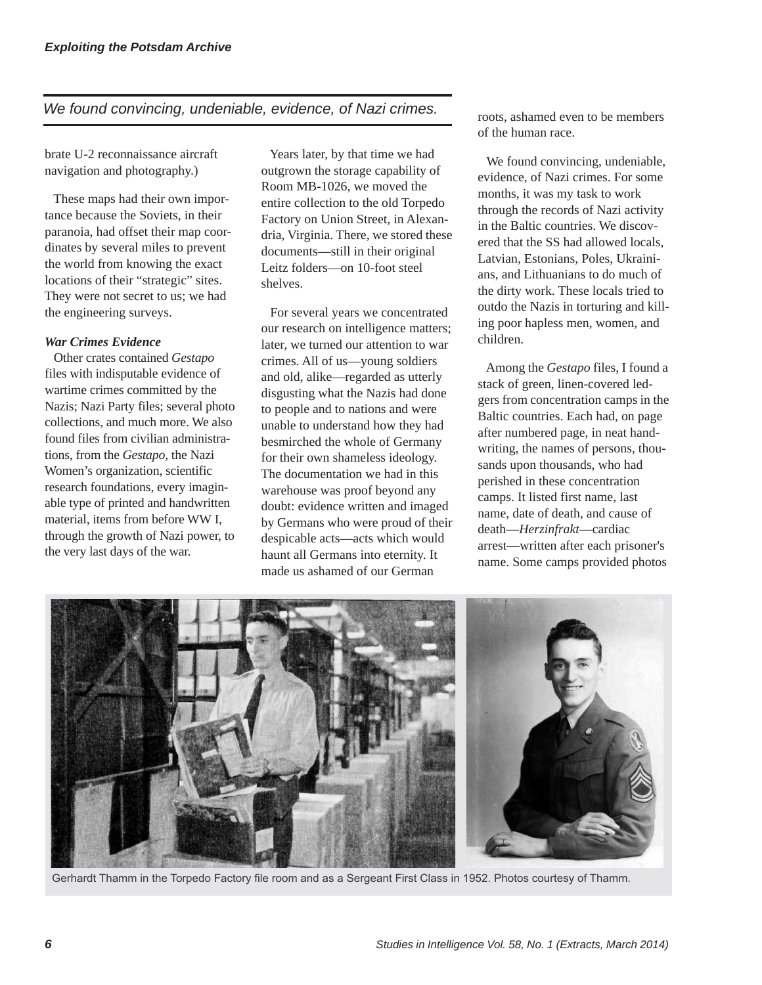# *We found convincing, undeniable, evidence, of Nazi crimes.*

brate U-2 reconnaissance aircraft navigation and photography.)

These maps had their own importance because the Soviets, in their paranoia, had offset their map coordinates by several miles to prevent the world from knowing the exact locations of their "strategic" sites. They were not secret to us; we had the engineering surveys.

#### *War Crimes Evidence*

Other crates contained *Gestapo* files with indisputable evidence of wartime crimes committed by the Nazis; Nazi Party files; several photo collections, and much more. We also found files from civilian administrations, from the *Gestapo*, the Nazi Women's organization, scientific research foundations, every imaginable type of printed and handwritten material, items from before WW I, through the growth of Nazi power, to the very last days of the war.

Years later, by that time we had outgrown the storage capability of Room MB-1026, we moved the entire collection to the old Torpedo Factory on Union Street, in Alexandria, Virginia. There, we stored these documents—still in their original Leitz folders—on 10-foot steel shelves.

For several years we concentrated our research on intelligence matters; later, we turned our attention to war crimes. All of us—young soldiers and old, alike—regarded as utterly disgusting what the Nazis had done to people and to nations and were unable to understand how they had besmirched the whole of Germany for their own shameless ideology. The documentation we had in this warehouse was proof beyond any doubt: evidence written and imaged by Germans who were proud of their despicable acts—acts which would haunt all Germans into eternity. It made us ashamed of our German

roots, ashamed even to be members of the human race.

We found convincing, undeniable, evidence, of Nazi crimes. For some months, it was my task to work through the records of Nazi activity in the Baltic countries. We discovered that the SS had allowed locals, Latvian, Estonians, Poles, Ukrainians, and Lithuanians to do much of the dirty work. These locals tried to outdo the Nazis in torturing and killing poor hapless men, women, and children.

Among the *Gestapo* files, I found a stack of green, linen-covered ledgers from concentration camps in the Baltic countries. Each had, on page after numbered page, in neat handwriting, the names of persons, thousands upon thousands, who had perished in these concentration camps. It listed first name, last name, date of death, and cause of death—*Herzinfrakt*—cardiac arrest—written after each prisoner's name. Some camps provided photos



Gerhardt Thamm in the Torpedo Factory file room and as a Sergeant First Class in 1952. Photos courtesy of Thamm.